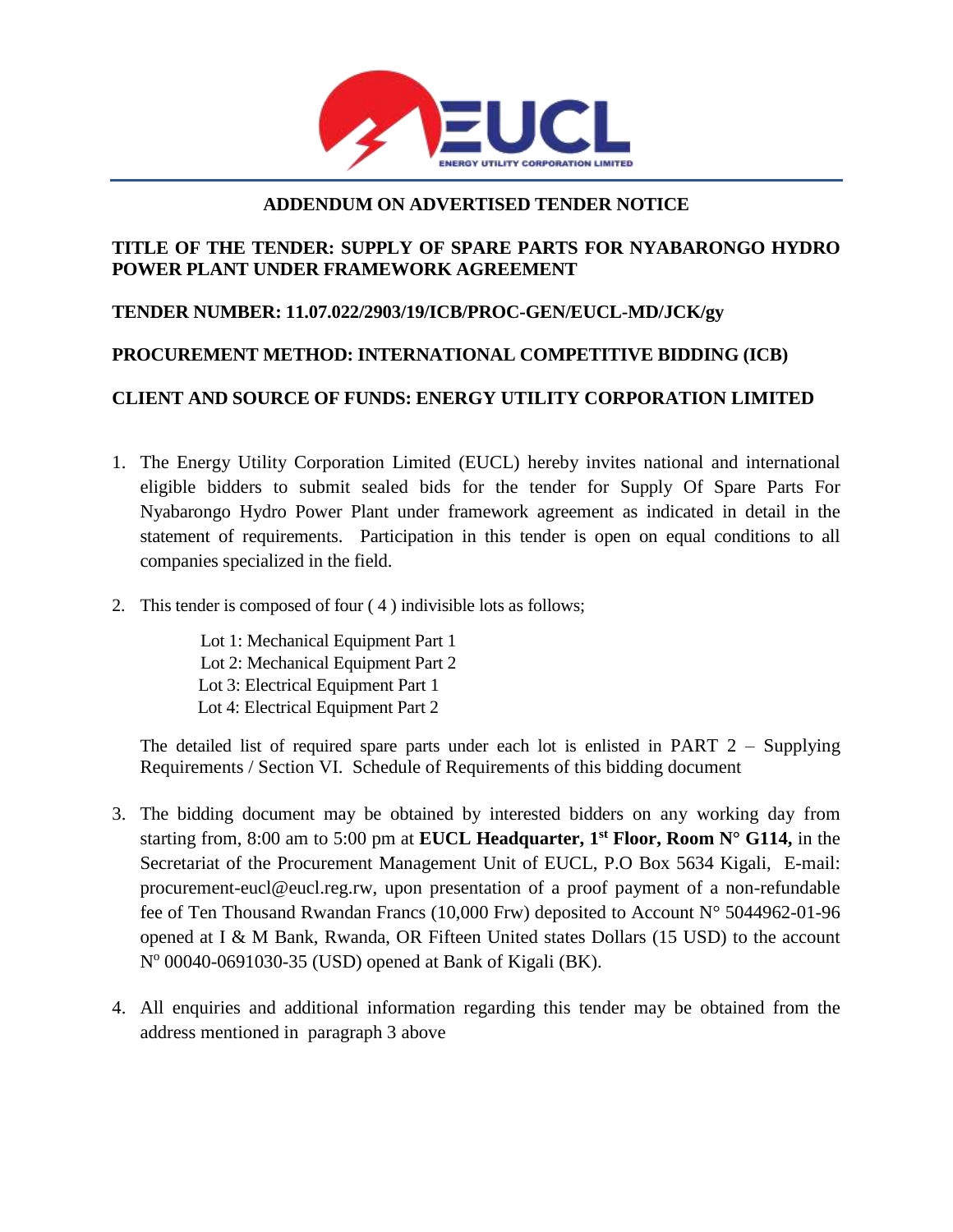

#### **ADDENDUM ON ADVERTISED TENDER NOTICE**

#### **TITLE OF THE TENDER: SUPPLY OF SPARE PARTS FOR NYABARONGO HYDRO POWER PLANT UNDER FRAMEWORK AGREEMENT**

### **TENDER NUMBER: 11.07.022/2903/19/ICB/PROC-GEN/EUCL-MD/JCK/gy**

# **PROCUREMENT METHOD: INTERNATIONAL COMPETITIVE BIDDING (ICB)**

## **CLIENT AND SOURCE OF FUNDS: ENERGY UTILITY CORPORATION LIMITED**

- 1. The Energy Utility Corporation Limited (EUCL) hereby invites national and international eligible bidders to submit sealed bids for the tender for Supply Of Spare Parts For Nyabarongo Hydro Power Plant under framework agreement as indicated in detail in the statement of requirements. Participation in this tender is open on equal conditions to all companies specialized in the field.
- 2. This tender is composed of four ( 4 ) indivisible lots as follows;

Lot 1: Mechanical Equipment Part 1 Lot 2: Mechanical Equipment Part 2 Lot 3: Electrical Equipment Part 1 Lot 4: Electrical Equipment Part 2

The detailed list of required spare parts under each lot is enlisted in PART  $2 -$  Supplying Requirements / Section VI. Schedule of Requirements of this bidding document

- 3. The bidding document may be obtained by interested bidders on any working day from starting from, 8:00 am to 5:00 pm at **EUCL Headquarter, 1st Floor, Room N° G114,** in the Secretariat of the Procurement Management Unit of EUCL, P.O Box 5634 Kigali, E-mail: procurement-eucl@eucl.reg.rw, upon presentation of a proof payment of a non-refundable fee of Ten Thousand Rwandan Francs (10,000 Frw) deposited to Account N° 5044962-01-96 opened at I & M Bank, Rwanda, OR Fifteen United states Dollars (15 USD) to the account Nº 00040-0691030-35 (USD) opened at Bank of Kigali (BK).
- 4. All enquiries and additional information regarding this tender may be obtained from the address mentioned in paragraph 3 above